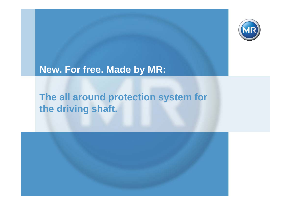

# **New. For free. Made by MR:**

# **The all around protection system for the driving shaft.**

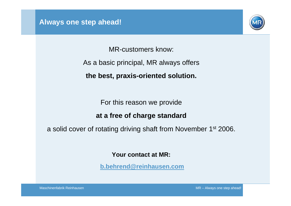

MR-customers know:

As a basic principal, MR always offers

**the best, praxis-oriented solution.**

For this reason we provide

### **at a free of charge standard**

a solid cover of rotating driving shaft from November 1st 2006.

**Your contact at MR:**

**[b.behrend@reinhausen.com](mailto:b.behrend@reinhausen.com)**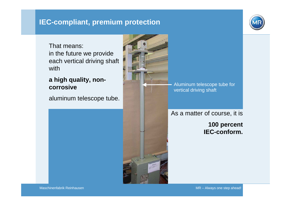# **IEC-compliant, premium protection**

That means:in the future we provide each vertical driving shaft with

### **a high quality, noncorrosive**

aluminum telescope tube.



Aluminum telescope tube for vertical driving shaft

# As a matter of course, it is

**100 percent IEC-conform.**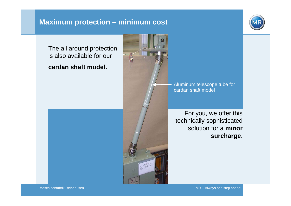## **Maximum protection – minimum cost**



The all around protection is also available for our

**cardan shaft model.**



Aluminum telescope tube for cardan shaft model

For you, we offer this technically sophisticated solution for a **minor surcharge**.